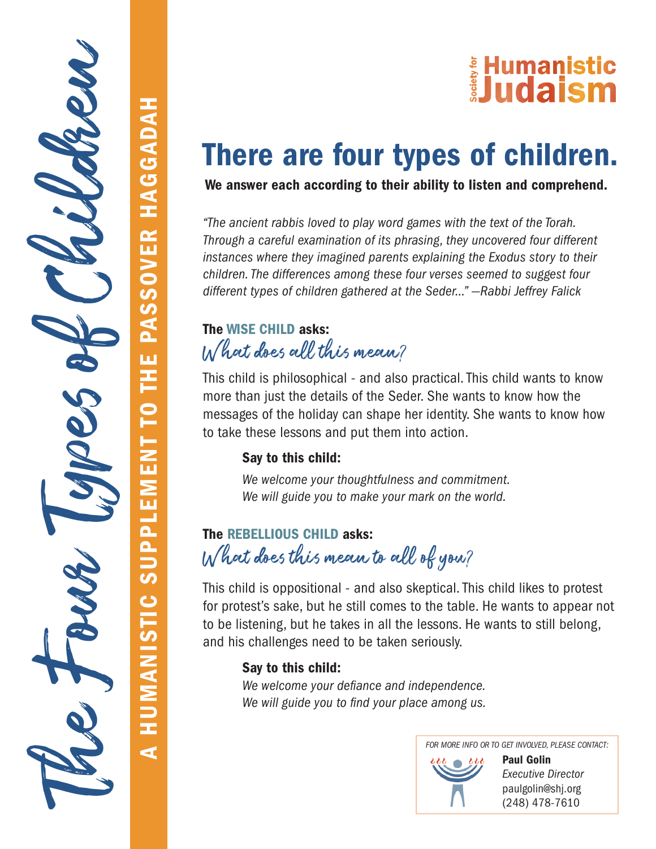# E Humanistic<br>Dudaism

# There are four types of children.

We answer each according to their ability to listen and comprehend.

*"The ancient rabbis loved to play word games with the text of the Torah. Through a careful examination of its phrasing, they uncovered four different instances where they imagined parents explaining the Exodus story to their children. The differences among these four verses seemed to suggest four different types of children gathered at the Seder…" —Rabbi Jeffrey Falick*

### The WISE CHILD asks: W hat does all this mean?

This child is philosophical - and also practical. This child wants to know more than just the details of the Seder. She wants to know how the messages of the holiday can shape her identity. She wants to know how to take these lessons and put them into action.

#### Say to this child:

A HUMANISTIC SUPPLEMENT TO THE PASSOVER HAGGADAH

**SUPPLEMENT** 

HUMANISTIC

 $\overline{\mathbf{A}}$ 

TO THE PASSOVER HAGGADAH

The Four Types of Children

*We welcome your thoughtfulness and commitment. We will guide you to make your mark on the world.*

## The REBELLIOUS CHILD asks: W hat does this mean to all of you?

This child is oppositional - and also skeptical. This child likes to protest for protest's sake, but he still comes to the table. He wants to appear not to be listening, but he takes in all the lessons. He wants to still belong, and his challenges need to be taken seriously.

#### Say to this child:

*We welcome your defiance and independence. We will guide you to find your place among us.*

*FOR MORE INFO OR TO GET INVOLVED, PLEASE CONTACT:*



Paul Golin *Executive Director* paulgolin@shj.org (248) 478-7610